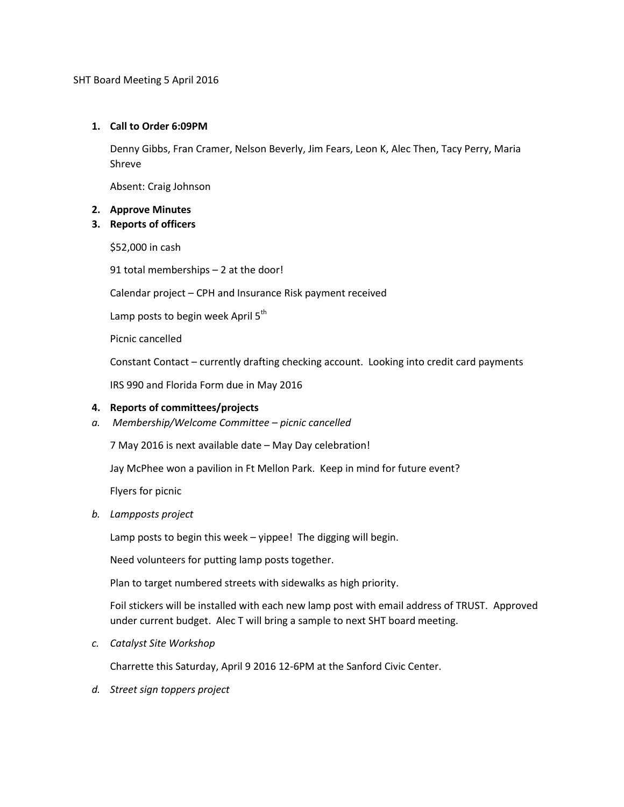SHT Board Meeting 5 April 2016

# **1. Call to Order 6:09PM**

Denny Gibbs, Fran Cramer, Nelson Beverly, Jim Fears, Leon K, Alec Then, Tacy Perry, Maria Shreve

Absent: Craig Johnson

#### **2. Approve Minutes**

## **3. Reports of officers**

\$52,000 in cash

91 total memberships – 2 at the door!

Calendar project – CPH and Insurance Risk payment received

Lamp posts to begin week April  $5<sup>th</sup>$ 

Picnic cancelled

Constant Contact – currently drafting checking account. Looking into credit card payments

IRS 990 and Florida Form due in May 2016

#### **4. Reports of committees/projects**

*a. Membership/Welcome Committee – picnic cancelled*

7 May 2016 is next available date – May Day celebration!

Jay McPhee won a pavilion in Ft Mellon Park. Keep in mind for future event?

Flyers for picnic

*b. Lampposts project*

Lamp posts to begin this week – yippee! The digging will begin.

Need volunteers for putting lamp posts together.

Plan to target numbered streets with sidewalks as high priority.

Foil stickers will be installed with each new lamp post with email address of TRUST. Approved under current budget. Alec T will bring a sample to next SHT board meeting.

*c. Catalyst Site Workshop*

Charrette this Saturday, April 9 2016 12-6PM at the Sanford Civic Center.

*d. Street sign toppers project*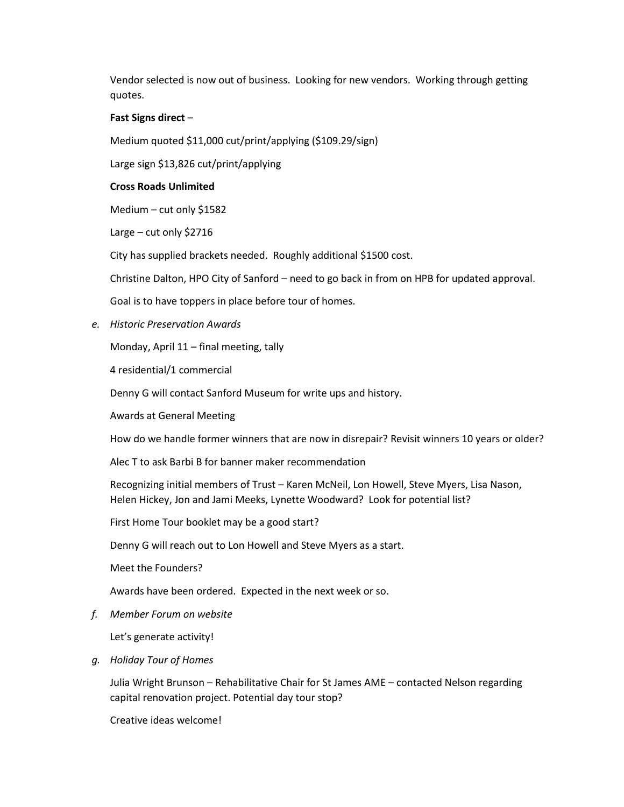Vendor selected is now out of business. Looking for new vendors. Working through getting quotes.

## **Fast Signs direct** –

Medium quoted \$11,000 cut/print/applying (\$109.29/sign)

Large sign \$13,826 cut/print/applying

#### **Cross Roads Unlimited**

Medium – cut only \$1582

Large – cut only \$2716

City has supplied brackets needed. Roughly additional \$1500 cost.

Christine Dalton, HPO City of Sanford – need to go back in from on HPB for updated approval.

Goal is to have toppers in place before tour of homes.

*e. Historic Preservation Awards*

Monday, April 11 – final meeting, tally

4 residential/1 commercial

Denny G will contact Sanford Museum for write ups and history.

Awards at General Meeting

How do we handle former winners that are now in disrepair? Revisit winners 10 years or older?

Alec T to ask Barbi B for banner maker recommendation

Recognizing initial members of Trust – Karen McNeil, Lon Howell, Steve Myers, Lisa Nason, Helen Hickey, Jon and Jami Meeks, Lynette Woodward? Look for potential list?

First Home Tour booklet may be a good start?

Denny G will reach out to Lon Howell and Steve Myers as a start.

Meet the Founders?

Awards have been ordered. Expected in the next week or so.

*f. Member Forum on website*

Let's generate activity!

*g. Holiday Tour of Homes*

Julia Wright Brunson – Rehabilitative Chair for St James AME – contacted Nelson regarding capital renovation project. Potential day tour stop?

Creative ideas welcome!